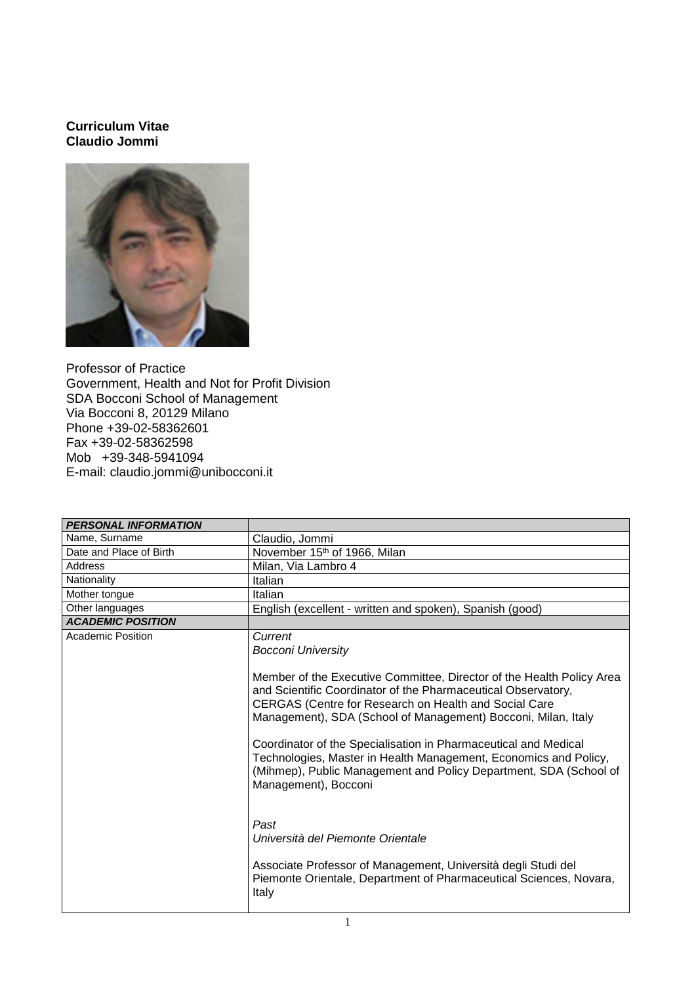## **Curriculum Vitae Claudio Jommi**



Professor of Practice Government, Health and Not for Profit Division SDA Bocconi School of Management Via Bocconi 8, 20129 Milano Phone +39-02-58362601 Fax +39-02-58362598 Mob +39-348-5941094 E-mail: claudio.jommi@unibocconi.it

| <b>PERSONAL INFORMATION</b> |                                                                                                                                                                                                                                                                  |
|-----------------------------|------------------------------------------------------------------------------------------------------------------------------------------------------------------------------------------------------------------------------------------------------------------|
| Name, Surname               | Claudio, Jommi                                                                                                                                                                                                                                                   |
| Date and Place of Birth     | November 15 <sup>th</sup> of 1966, Milan                                                                                                                                                                                                                         |
| <b>Address</b>              | Milan, Via Lambro 4                                                                                                                                                                                                                                              |
| Nationality                 | Italian                                                                                                                                                                                                                                                          |
| Mother tongue               | Italian                                                                                                                                                                                                                                                          |
| Other languages             | English (excellent - written and spoken), Spanish (good)                                                                                                                                                                                                         |
| <b>ACADEMIC POSITION</b>    |                                                                                                                                                                                                                                                                  |
| <b>Academic Position</b>    | Current<br><b>Bocconi University</b>                                                                                                                                                                                                                             |
|                             | Member of the Executive Committee, Director of the Health Policy Area<br>and Scientific Coordinator of the Pharmaceutical Observatory,<br>CERGAS (Centre for Research on Health and Social Care<br>Management), SDA (School of Management) Bocconi, Milan, Italy |
|                             | Coordinator of the Specialisation in Pharmaceutical and Medical<br>Technologies, Master in Health Management, Economics and Policy,<br>(Mihmep), Public Management and Policy Department, SDA (School of<br>Management), Bocconi                                 |
|                             | Past<br>Università del Piemonte Orientale                                                                                                                                                                                                                        |
|                             | Associate Professor of Management, Università degli Studi del<br>Piemonte Orientale, Department of Pharmaceutical Sciences, Novara,<br>Italy                                                                                                                     |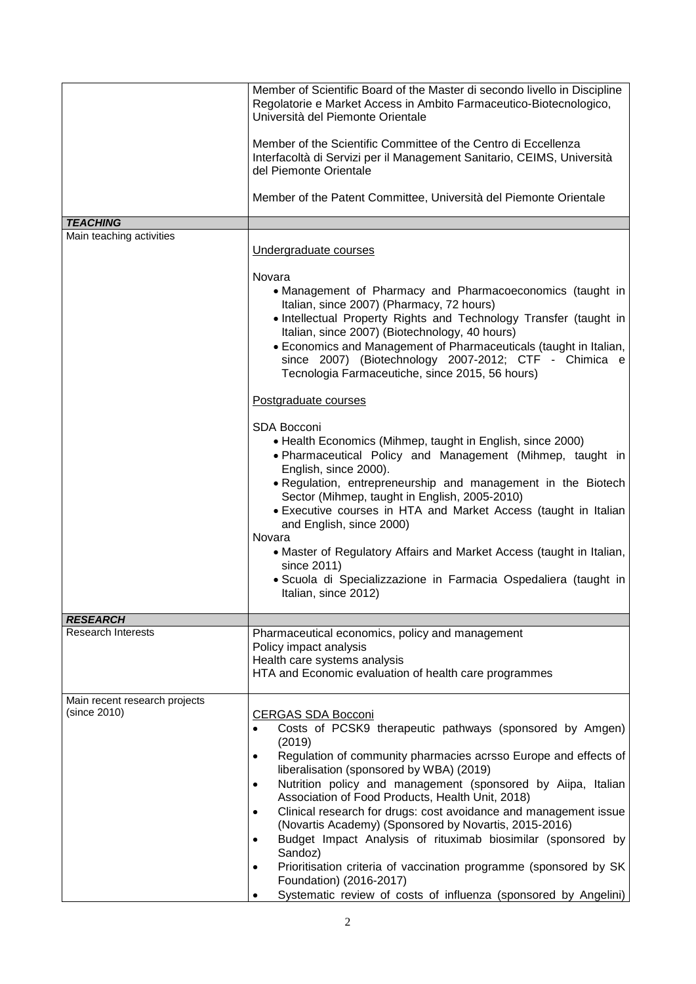|                                               | Member of Scientific Board of the Master di secondo livello in Discipline<br>Regolatorie e Market Access in Ambito Farmaceutico-Biotecnologico,<br>Università del Piemonte Orientale                                                                                                                                                                                                                                                                                                                                                                                                                                                                                                                                                                                                        |
|-----------------------------------------------|---------------------------------------------------------------------------------------------------------------------------------------------------------------------------------------------------------------------------------------------------------------------------------------------------------------------------------------------------------------------------------------------------------------------------------------------------------------------------------------------------------------------------------------------------------------------------------------------------------------------------------------------------------------------------------------------------------------------------------------------------------------------------------------------|
|                                               | Member of the Scientific Committee of the Centro di Eccellenza<br>Interfacoltà di Servizi per il Management Sanitario, CEIMS, Università<br>del Piemonte Orientale                                                                                                                                                                                                                                                                                                                                                                                                                                                                                                                                                                                                                          |
|                                               | Member of the Patent Committee, Università del Piemonte Orientale                                                                                                                                                                                                                                                                                                                                                                                                                                                                                                                                                                                                                                                                                                                           |
| <b>TEACHING</b>                               |                                                                                                                                                                                                                                                                                                                                                                                                                                                                                                                                                                                                                                                                                                                                                                                             |
| Main teaching activities                      | Undergraduate courses                                                                                                                                                                                                                                                                                                                                                                                                                                                                                                                                                                                                                                                                                                                                                                       |
|                                               | Novara<br>• Management of Pharmacy and Pharmacoeconomics (taught in<br>Italian, since 2007) (Pharmacy, 72 hours)<br>• Intellectual Property Rights and Technology Transfer (taught in<br>Italian, since 2007) (Biotechnology, 40 hours)<br>• Economics and Management of Pharmaceuticals (taught in Italian,<br>since 2007) (Biotechnology 2007-2012; CTF - Chimica e<br>Tecnologia Farmaceutiche, since 2015, 56 hours)                                                                                                                                                                                                                                                                                                                                                                    |
|                                               | Postgraduate courses                                                                                                                                                                                                                                                                                                                                                                                                                                                                                                                                                                                                                                                                                                                                                                        |
|                                               | <b>SDA Bocconi</b><br>• Health Economics (Mihmep, taught in English, since 2000)<br>. Pharmaceutical Policy and Management (Mihmep, taught in<br>English, since 2000).<br>• Regulation, entrepreneurship and management in the Biotech<br>Sector (Mihmep, taught in English, 2005-2010)<br>• Executive courses in HTA and Market Access (taught in Italian<br>and English, since 2000)<br>Novara                                                                                                                                                                                                                                                                                                                                                                                            |
|                                               | • Master of Regulatory Affairs and Market Access (taught in Italian,<br>since 2011)<br>· Scuola di Specializzazione in Farmacia Ospedaliera (taught in<br>Italian, since 2012)                                                                                                                                                                                                                                                                                                                                                                                                                                                                                                                                                                                                              |
| <b>RESEARCH</b>                               |                                                                                                                                                                                                                                                                                                                                                                                                                                                                                                                                                                                                                                                                                                                                                                                             |
| <b>Research Interests</b>                     | Pharmaceutical economics, policy and management                                                                                                                                                                                                                                                                                                                                                                                                                                                                                                                                                                                                                                                                                                                                             |
|                                               | Policy impact analysis<br>Health care systems analysis<br>HTA and Economic evaluation of health care programmes                                                                                                                                                                                                                                                                                                                                                                                                                                                                                                                                                                                                                                                                             |
| Main recent research projects<br>(since 2010) | <b>CERGAS SDA Bocconi</b><br>Costs of PCSK9 therapeutic pathways (sponsored by Amgen)<br>$\bullet$<br>(2019)<br>Regulation of community pharmacies acrsso Europe and effects of<br>$\bullet$<br>liberalisation (sponsored by WBA) (2019)<br>Nutrition policy and management (sponsored by Aiipa, Italian<br>$\bullet$<br>Association of Food Products, Health Unit, 2018)<br>Clinical research for drugs: cost avoidance and management issue<br>$\bullet$<br>(Novartis Academy) (Sponsored by Novartis, 2015-2016)<br>Budget Impact Analysis of rituximab biosimilar (sponsored by<br>$\bullet$<br>Sandoz)<br>Prioritisation criteria of vaccination programme (sponsored by SK<br>$\bullet$<br>Foundation) (2016-2017)<br>Systematic review of costs of influenza (sponsored by Angelini) |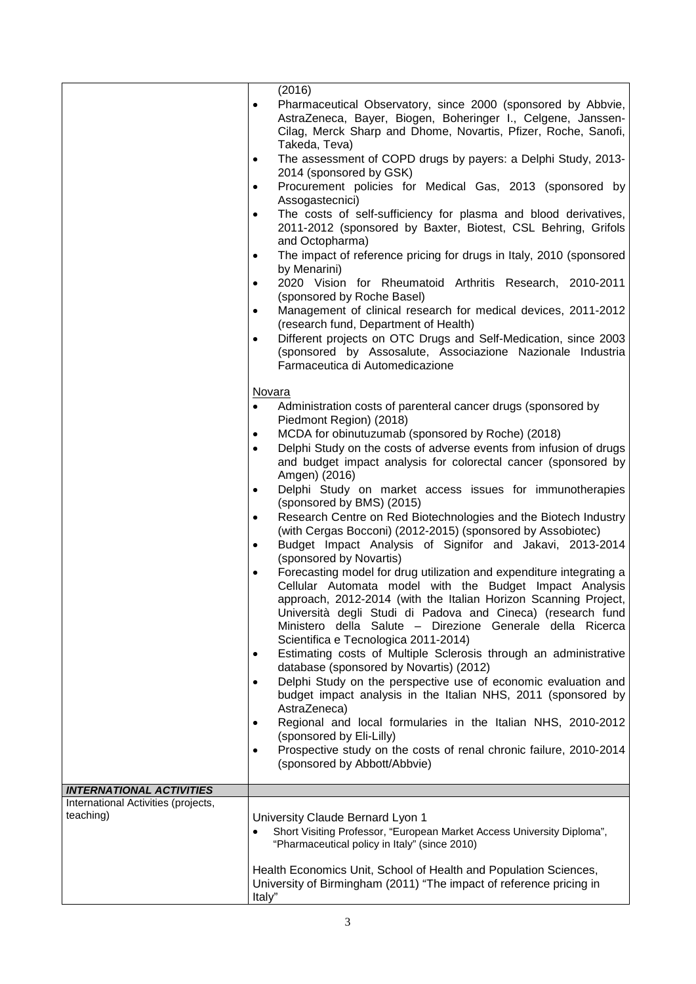|                                                  | (2016)<br>Pharmaceutical Observatory, since 2000 (sponsored by Abbvie,<br>$\bullet$                                                                                                                                                                                                                                                                                    |
|--------------------------------------------------|------------------------------------------------------------------------------------------------------------------------------------------------------------------------------------------------------------------------------------------------------------------------------------------------------------------------------------------------------------------------|
|                                                  | AstraZeneca, Bayer, Biogen, Boheringer I., Celgene, Janssen-<br>Cilag, Merck Sharp and Dhome, Novartis, Pfizer, Roche, Sanofi,<br>Takeda, Teva)                                                                                                                                                                                                                        |
|                                                  | The assessment of COPD drugs by payers: a Delphi Study, 2013-<br>٠<br>2014 (sponsored by GSK)                                                                                                                                                                                                                                                                          |
|                                                  | Procurement policies for Medical Gas, 2013 (sponsored by<br>Assogastecnici)                                                                                                                                                                                                                                                                                            |
|                                                  | The costs of self-sufficiency for plasma and blood derivatives,<br>2011-2012 (sponsored by Baxter, Biotest, CSL Behring, Grifols<br>and Octopharma)                                                                                                                                                                                                                    |
|                                                  | The impact of reference pricing for drugs in Italy, 2010 (sponsored<br>٠<br>by Menarini)                                                                                                                                                                                                                                                                               |
|                                                  | 2020 Vision for Rheumatoid Arthritis Research, 2010-2011<br>(sponsored by Roche Basel)                                                                                                                                                                                                                                                                                 |
|                                                  | Management of clinical research for medical devices, 2011-2012<br>$\bullet$<br>(research fund, Department of Health)                                                                                                                                                                                                                                                   |
|                                                  | Different projects on OTC Drugs and Self-Medication, since 2003<br>(sponsored by Assosalute, Associazione Nazionale Industria<br>Farmaceutica di Automedicazione                                                                                                                                                                                                       |
|                                                  | Novara                                                                                                                                                                                                                                                                                                                                                                 |
|                                                  | Administration costs of parenteral cancer drugs (sponsored by<br>$\bullet$<br>Piedmont Region) (2018)                                                                                                                                                                                                                                                                  |
|                                                  | MCDA for obinutuzumab (sponsored by Roche) (2018)<br>$\bullet$<br>Delphi Study on the costs of adverse events from infusion of drugs<br>and budget impact analysis for colorectal cancer (sponsored by                                                                                                                                                                 |
|                                                  | Amgen) (2016)<br>Delphi Study on market access issues for immunotherapies<br>٠                                                                                                                                                                                                                                                                                         |
|                                                  | (sponsored by BMS) (2015)<br>Research Centre on Red Biotechnologies and the Biotech Industry<br>$\bullet$<br>(with Cergas Bocconi) (2012-2015) (sponsored by Assobiotec)<br>Budget Impact Analysis of Signifor and Jakavi, 2013-2014<br>$\bullet$<br>(sponsored by Novartis)                                                                                           |
|                                                  | Forecasting model for drug utilization and expenditure integrating a<br>Cellular Automata model with the Budget Impact Analysis<br>approach, 2012-2014 (with the Italian Horizon Scanning Project,<br>Università degli Studi di Padova and Cineca) (research fund<br>Ministero della Salute - Direzione Generale della Ricerca<br>Scientifica e Tecnologica 2011-2014) |
|                                                  | Estimating costs of Multiple Sclerosis through an administrative<br>$\bullet$<br>database (sponsored by Novartis) (2012)                                                                                                                                                                                                                                               |
|                                                  | Delphi Study on the perspective use of economic evaluation and<br>$\bullet$<br>budget impact analysis in the Italian NHS, 2011 (sponsored by                                                                                                                                                                                                                           |
|                                                  | AstraZeneca)<br>Regional and local formularies in the Italian NHS, 2010-2012<br>(sponsored by Eli-Lilly)                                                                                                                                                                                                                                                               |
|                                                  | Prospective study on the costs of renal chronic failure, 2010-2014<br>٠<br>(sponsored by Abbott/Abbvie)                                                                                                                                                                                                                                                                |
| <b>INTERNATIONAL ACTIVITIES</b>                  |                                                                                                                                                                                                                                                                                                                                                                        |
| International Activities (projects,<br>teaching) | University Claude Bernard Lyon 1<br>Short Visiting Professor, "European Market Access University Diploma",<br>"Pharmaceutical policy in Italy" (since 2010)                                                                                                                                                                                                            |
|                                                  | Health Economics Unit, School of Health and Population Sciences,<br>University of Birmingham (2011) "The impact of reference pricing in<br>Italy"                                                                                                                                                                                                                      |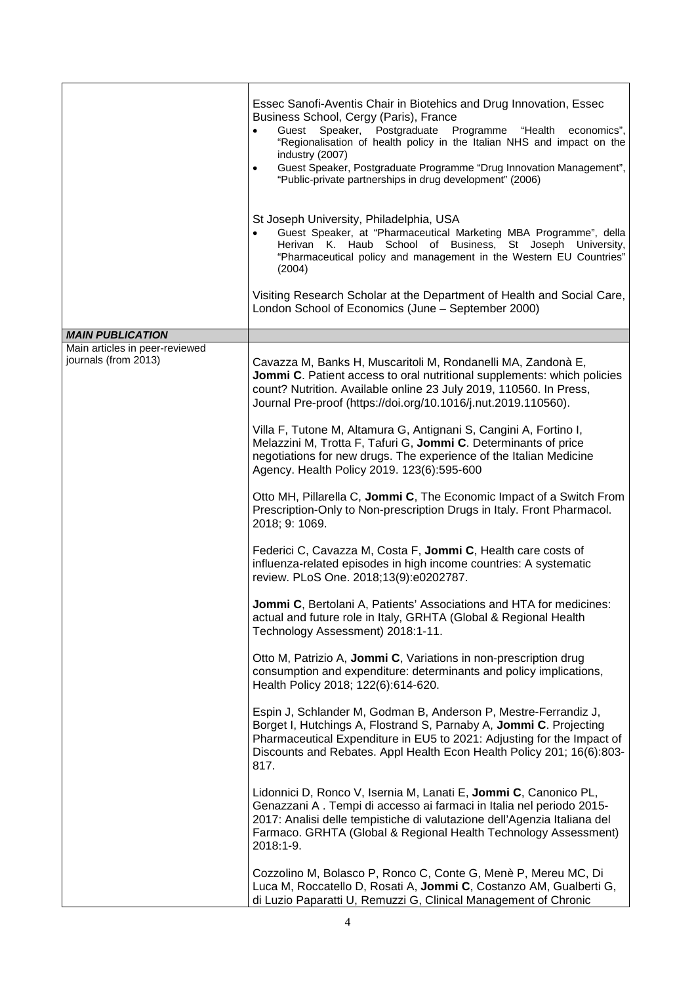|                                                        | Essec Sanofi-Aventis Chair in Biotehics and Drug Innovation, Essec<br>Business School, Cergy (Paris), France<br>Guest Speaker, Postgraduate Programme "Health<br>economics",<br>$\bullet$<br>"Regionalisation of health policy in the Italian NHS and impact on the<br>industry (2007)<br>Guest Speaker, Postgraduate Programme "Drug Innovation Management",<br>"Public-private partnerships in drug development" (2006) |
|--------------------------------------------------------|---------------------------------------------------------------------------------------------------------------------------------------------------------------------------------------------------------------------------------------------------------------------------------------------------------------------------------------------------------------------------------------------------------------------------|
|                                                        | St Joseph University, Philadelphia, USA<br>Guest Speaker, at "Pharmaceutical Marketing MBA Programme", della<br>Herivan K. Haub School of Business, St Joseph University,<br>"Pharmaceutical policy and management in the Western EU Countries"<br>(2004)                                                                                                                                                                 |
|                                                        | Visiting Research Scholar at the Department of Health and Social Care,<br>London School of Economics (June - September 2000)                                                                                                                                                                                                                                                                                              |
| <b>MAIN PUBLICATION</b>                                |                                                                                                                                                                                                                                                                                                                                                                                                                           |
| Main articles in peer-reviewed<br>journals (from 2013) | Cavazza M, Banks H, Muscaritoli M, Rondanelli MA, Zandonà E,<br>Jommi C. Patient access to oral nutritional supplements: which policies<br>count? Nutrition. Available online 23 July 2019, 110560. In Press,<br>Journal Pre-proof (https://doi.org/10.1016/j.nut.2019.110560).                                                                                                                                           |
|                                                        | Villa F, Tutone M, Altamura G, Antignani S, Cangini A, Fortino I,<br>Melazzini M, Trotta F, Tafuri G, Jommi C. Determinants of price<br>negotiations for new drugs. The experience of the Italian Medicine<br>Agency. Health Policy 2019. 123(6):595-600                                                                                                                                                                  |
|                                                        | Otto MH, Pillarella C, Jommi C, The Economic Impact of a Switch From<br>Prescription-Only to Non-prescription Drugs in Italy. Front Pharmacol.<br>2018; 9: 1069.                                                                                                                                                                                                                                                          |
|                                                        | Federici C, Cavazza M, Costa F, Jommi C, Health care costs of<br>influenza-related episodes in high income countries: A systematic<br>review. PLoS One. 2018;13(9):e0202787.                                                                                                                                                                                                                                              |
|                                                        | Jommi C, Bertolani A, Patients' Associations and HTA for medicines:<br>actual and future role in Italy, GRHTA (Global & Regional Health<br>Technology Assessment) 2018:1-11.                                                                                                                                                                                                                                              |
|                                                        | Otto M, Patrizio A, Jommi C, Variations in non-prescription drug<br>consumption and expenditure: determinants and policy implications,<br>Health Policy 2018; 122(6):614-620.                                                                                                                                                                                                                                             |
|                                                        | Espin J, Schlander M, Godman B, Anderson P, Mestre-Ferrandiz J,<br>Borget I, Hutchings A, Flostrand S, Parnaby A, Jommi C. Projecting<br>Pharmaceutical Expenditure in EU5 to 2021: Adjusting for the Impact of<br>Discounts and Rebates. Appl Health Econ Health Policy 201; 16(6):803-<br>817.                                                                                                                          |
|                                                        | Lidonnici D, Ronco V, Isernia M, Lanati E, Jommi C, Canonico PL,<br>Genazzani A. Tempi di accesso ai farmaci in Italia nel periodo 2015-<br>2017: Analisi delle tempistiche di valutazione dell'Agenzia Italiana del<br>Farmaco. GRHTA (Global & Regional Health Technology Assessment)<br>2018:1-9.                                                                                                                      |
|                                                        | Cozzolino M, Bolasco P, Ronco C, Conte G, Menè P, Mereu MC, Di<br>Luca M, Roccatello D, Rosati A, Jommi C, Costanzo AM, Gualberti G,<br>di Luzio Paparatti U, Remuzzi G, Clinical Management of Chronic                                                                                                                                                                                                                   |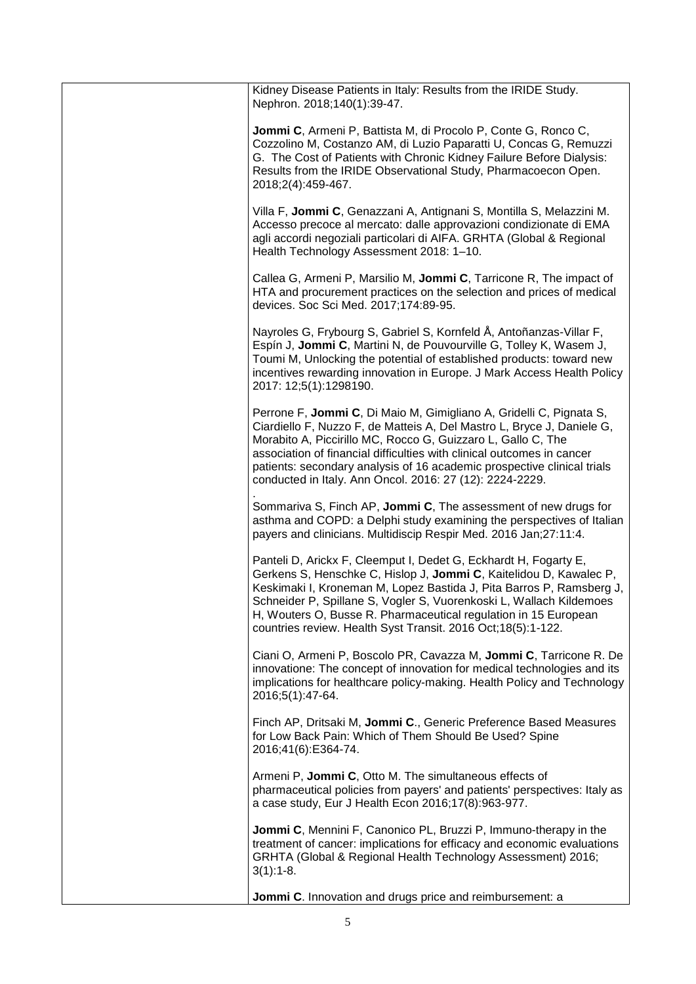| Kidney Disease Patients in Italy: Results from the IRIDE Study.<br>Nephron. 2018;140(1):39-47.                                                                                                                                                                                                                                                                                                                                 |
|--------------------------------------------------------------------------------------------------------------------------------------------------------------------------------------------------------------------------------------------------------------------------------------------------------------------------------------------------------------------------------------------------------------------------------|
| Jommi C, Armeni P, Battista M, di Procolo P, Conte G, Ronco C,<br>Cozzolino M, Costanzo AM, di Luzio Paparatti U, Concas G, Remuzzi<br>G. The Cost of Patients with Chronic Kidney Failure Before Dialysis:<br>Results from the IRIDE Observational Study, Pharmacoecon Open.<br>2018;2(4):459-467.                                                                                                                            |
| Villa F, Jommi C, Genazzani A, Antignani S, Montilla S, Melazzini M.<br>Accesso precoce al mercato: dalle approvazioni condizionate di EMA<br>agli accordi negoziali particolari di AIFA. GRHTA (Global & Regional<br>Health Technology Assessment 2018: 1-10.                                                                                                                                                                 |
| Callea G, Armeni P, Marsilio M, Jommi C, Tarricone R, The impact of<br>HTA and procurement practices on the selection and prices of medical<br>devices. Soc Sci Med. 2017;174:89-95.                                                                                                                                                                                                                                           |
| Nayroles G, Frybourg S, Gabriel S, Kornfeld Å, Antoñanzas-Villar F,<br>Espín J, Jommi C, Martini N, de Pouvourville G, Tolley K, Wasem J,<br>Toumi M, Unlocking the potential of established products: toward new<br>incentives rewarding innovation in Europe. J Mark Access Health Policy<br>2017: 12;5(1):1298190.                                                                                                          |
| Perrone F, Jommi C, Di Maio M, Gimigliano A, Gridelli C, Pignata S,<br>Ciardiello F, Nuzzo F, de Matteis A, Del Mastro L, Bryce J, Daniele G,<br>Morabito A, Piccirillo MC, Rocco G, Guizzaro L, Gallo C, The<br>association of financial difficulties with clinical outcomes in cancer<br>patients: secondary analysis of 16 academic prospective clinical trials<br>conducted in Italy. Ann Oncol. 2016: 27 (12): 2224-2229. |
| Sommariva S, Finch AP, Jommi C, The assessment of new drugs for<br>asthma and COPD: a Delphi study examining the perspectives of Italian<br>payers and clinicians. Multidiscip Respir Med. 2016 Jan;27:11:4.                                                                                                                                                                                                                   |
| Panteli D, Arickx F, Cleemput I, Dedet G, Eckhardt H, Fogarty E,<br>Gerkens S, Henschke C, Hislop J, Jommi C, Kaitelidou D, Kawalec P,<br>Keskimaki I, Kroneman M, Lopez Bastida J, Pita Barros P, Ramsberg J,<br>Schneider P, Spillane S, Vogler S, Vuorenkoski L, Wallach Kildemoes<br>H, Wouters O, Busse R. Pharmaceutical regulation in 15 European<br>countries review. Health Syst Transit. 2016 Oct;18(5):1-122.       |
| Ciani O, Armeni P, Boscolo PR, Cavazza M, Jommi C, Tarricone R. De<br>innovatione: The concept of innovation for medical technologies and its<br>implications for healthcare policy-making. Health Policy and Technology<br>2016;5(1):47-64.                                                                                                                                                                                   |
| Finch AP, Dritsaki M, Jommi C., Generic Preference Based Measures<br>for Low Back Pain: Which of Them Should Be Used? Spine<br>2016;41(6):E364-74.                                                                                                                                                                                                                                                                             |
| Armeni P, Jommi C, Otto M. The simultaneous effects of<br>pharmaceutical policies from payers' and patients' perspectives: Italy as<br>a case study, Eur J Health Econ 2016;17(8):963-977.                                                                                                                                                                                                                                     |
| Jommi C, Mennini F, Canonico PL, Bruzzi P, Immuno-therapy in the<br>treatment of cancer: implications for efficacy and economic evaluations<br>GRHTA (Global & Regional Health Technology Assessment) 2016;<br>$3(1):1-8.$                                                                                                                                                                                                     |
| Jommi C. Innovation and drugs price and reimbursement: a                                                                                                                                                                                                                                                                                                                                                                       |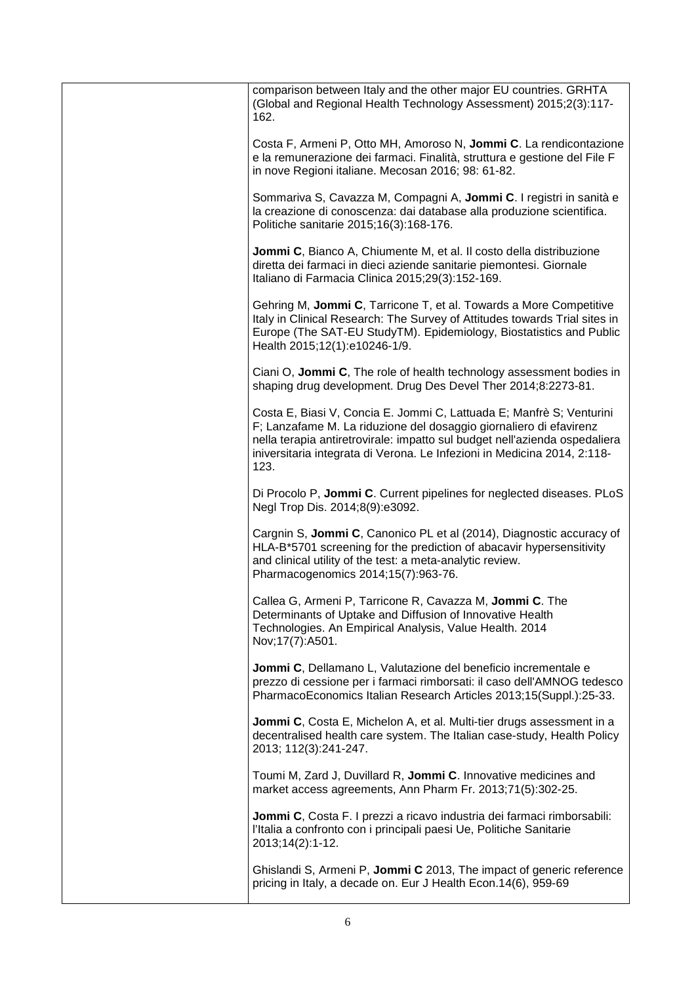| comparison between Italy and the other major EU countries. GRHTA<br>(Global and Regional Health Technology Assessment) 2015;2(3):117-<br>162.                                                                                                                                                                |
|--------------------------------------------------------------------------------------------------------------------------------------------------------------------------------------------------------------------------------------------------------------------------------------------------------------|
| Costa F, Armeni P, Otto MH, Amoroso N, Jommi C. La rendicontazione<br>e la remunerazione dei farmaci. Finalità, struttura e gestione del File F<br>in nove Regioni italiane. Mecosan 2016; 98: 61-82.                                                                                                        |
| Sommariva S, Cavazza M, Compagni A, Jommi C. I registri in sanità e<br>la creazione di conoscenza: dai database alla produzione scientifica.<br>Politiche sanitarie 2015;16(3):168-176.                                                                                                                      |
| <b>Jommi C, Bianco A, Chiumente M, et al. Il costo della distribuzione</b><br>diretta dei farmaci in dieci aziende sanitarie piemontesi. Giornale<br>Italiano di Farmacia Clinica 2015;29(3):152-169.                                                                                                        |
| Gehring M, Jommi C, Tarricone T, et al. Towards a More Competitive<br>Italy in Clinical Research: The Survey of Attitudes towards Trial sites in<br>Europe (The SAT-EU StudyTM). Epidemiology, Biostatistics and Public<br>Health 2015;12(1):e10246-1/9.                                                     |
| Ciani O, Jommi C, The role of health technology assessment bodies in<br>shaping drug development. Drug Des Devel Ther 2014;8:2273-81.                                                                                                                                                                        |
| Costa E, Biasi V, Concia E. Jommi C, Lattuada E; Manfrè S; Venturini<br>F; Lanzafame M. La riduzione del dosaggio giornaliero di efavirenz<br>nella terapia antiretrovirale: impatto sul budget nell'azienda ospedaliera<br>iniversitaria integrata di Verona. Le Infezioni in Medicina 2014, 2:118-<br>123. |
| Di Procolo P, Jommi C. Current pipelines for neglected diseases. PLoS<br>Negl Trop Dis. 2014;8(9):e3092.                                                                                                                                                                                                     |
| Cargnin S, Jommi C, Canonico PL et al (2014), Diagnostic accuracy of<br>HLA-B*5701 screening for the prediction of abacavir hypersensitivity<br>and clinical utility of the test: a meta-analytic review.<br>Pharmacogenomics 2014;15(7):963-76.                                                             |
| Callea G, Armeni P, Tarricone R, Cavazza M, Jommi C. The<br>Determinants of Uptake and Diffusion of Innovative Health<br>Technologies. An Empirical Analysis, Value Health. 2014<br>Nov; 17(7): A501.                                                                                                        |
| Jommi C, Dellamano L, Valutazione del beneficio incrementale e<br>prezzo di cessione per i farmaci rimborsati: il caso dell'AMNOG tedesco<br>PharmacoEconomics Italian Research Articles 2013;15(Suppl.):25-33.                                                                                              |
| Jommi C, Costa E, Michelon A, et al. Multi-tier drugs assessment in a<br>decentralised health care system. The Italian case-study, Health Policy<br>2013; 112(3):241-247.                                                                                                                                    |
| Toumi M, Zard J, Duvillard R, Jommi C. Innovative medicines and<br>market access agreements, Ann Pharm Fr. 2013;71(5):302-25.                                                                                                                                                                                |
| Jommi C, Costa F. I prezzi a ricavo industria dei farmaci rimborsabili:<br>l'Italia a confronto con i principali paesi Ue, Politiche Sanitarie<br>2013;14(2):1-12.                                                                                                                                           |
| Ghislandi S, Armeni P, Jommi C 2013, The impact of generic reference<br>pricing in Italy, a decade on. Eur J Health Econ.14(6), 959-69                                                                                                                                                                       |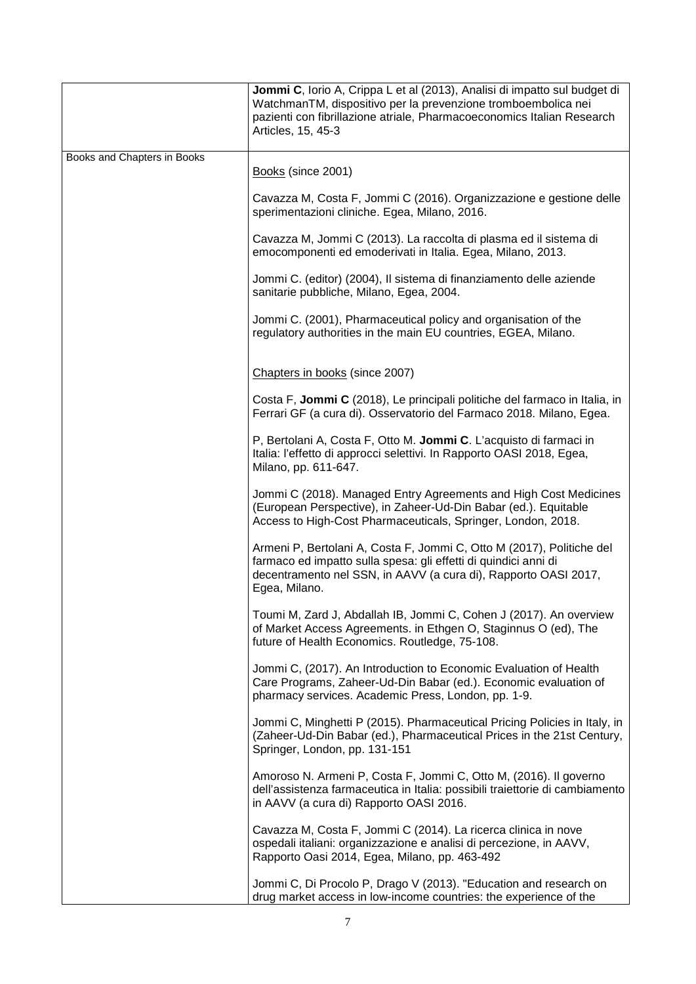|                             | Jommi C, Iorio A, Crippa L et al (2013), Analisi di impatto sul budget di<br>WatchmanTM, dispositivo per la prevenzione tromboembolica nei<br>pazienti con fibrillazione atriale, Pharmacoeconomics Italian Research<br>Articles, 15, 45-3 |
|-----------------------------|--------------------------------------------------------------------------------------------------------------------------------------------------------------------------------------------------------------------------------------------|
| Books and Chapters in Books | Books (since 2001)                                                                                                                                                                                                                         |
|                             | Cavazza M, Costa F, Jommi C (2016). Organizzazione e gestione delle<br>sperimentazioni cliniche. Egea, Milano, 2016.                                                                                                                       |
|                             | Cavazza M, Jommi C (2013). La raccolta di plasma ed il sistema di<br>emocomponenti ed emoderivati in Italia. Egea, Milano, 2013.                                                                                                           |
|                             | Jommi C. (editor) (2004), Il sistema di finanziamento delle aziende<br>sanitarie pubbliche, Milano, Egea, 2004.                                                                                                                            |
|                             | Jommi C. (2001), Pharmaceutical policy and organisation of the<br>regulatory authorities in the main EU countries, EGEA, Milano.                                                                                                           |
|                             | Chapters in books (since 2007)                                                                                                                                                                                                             |
|                             | Costa F, Jommi C (2018), Le principali politiche del farmaco in Italia, in<br>Ferrari GF (a cura di). Osservatorio del Farmaco 2018. Milano, Egea.                                                                                         |
|                             | P, Bertolani A, Costa F, Otto M. Jommi C. L'acquisto di farmaci in<br>Italia: l'effetto di approcci selettivi. In Rapporto OASI 2018, Egea,<br>Milano, pp. 611-647.                                                                        |
|                             | Jommi C (2018). Managed Entry Agreements and High Cost Medicines<br>(European Perspective), in Zaheer-Ud-Din Babar (ed.). Equitable<br>Access to High-Cost Pharmaceuticals, Springer, London, 2018.                                        |
|                             | Armeni P, Bertolani A, Costa F, Jommi C, Otto M (2017), Politiche del<br>farmaco ed impatto sulla spesa: gli effetti di quindici anni di<br>decentramento nel SSN, in AAVV (a cura di), Rapporto OASI 2017,<br>Egea, Milano.               |
|                             | Toumi M, Zard J, Abdallah IB, Jommi C, Cohen J (2017). An overview<br>of Market Access Agreements. in Ethgen O, Staginnus O (ed), The<br>future of Health Economics. Routledge, 75-108.                                                    |
|                             | Jommi C, (2017). An Introduction to Economic Evaluation of Health<br>Care Programs, Zaheer-Ud-Din Babar (ed.). Economic evaluation of<br>pharmacy services. Academic Press, London, pp. 1-9.                                               |
|                             | Jommi C, Minghetti P (2015). Pharmaceutical Pricing Policies in Italy, in<br>(Zaheer-Ud-Din Babar (ed.), Pharmaceutical Prices in the 21st Century,<br>Springer, London, pp. 131-151                                                       |
|                             | Amoroso N. Armeni P, Costa F, Jommi C, Otto M, (2016). Il governo<br>dell'assistenza farmaceutica in Italia: possibili traiettorie di cambiamento<br>in AAVV (a cura di) Rapporto OASI 2016.                                               |
|                             | Cavazza M, Costa F, Jommi C (2014). La ricerca clinica in nove<br>ospedali italiani: organizzazione e analisi di percezione, in AAVV,<br>Rapporto Oasi 2014, Egea, Milano, pp. 463-492                                                     |
|                             | Jommi C, Di Procolo P, Drago V (2013). "Education and research on<br>drug market access in low-income countries: the experience of the                                                                                                     |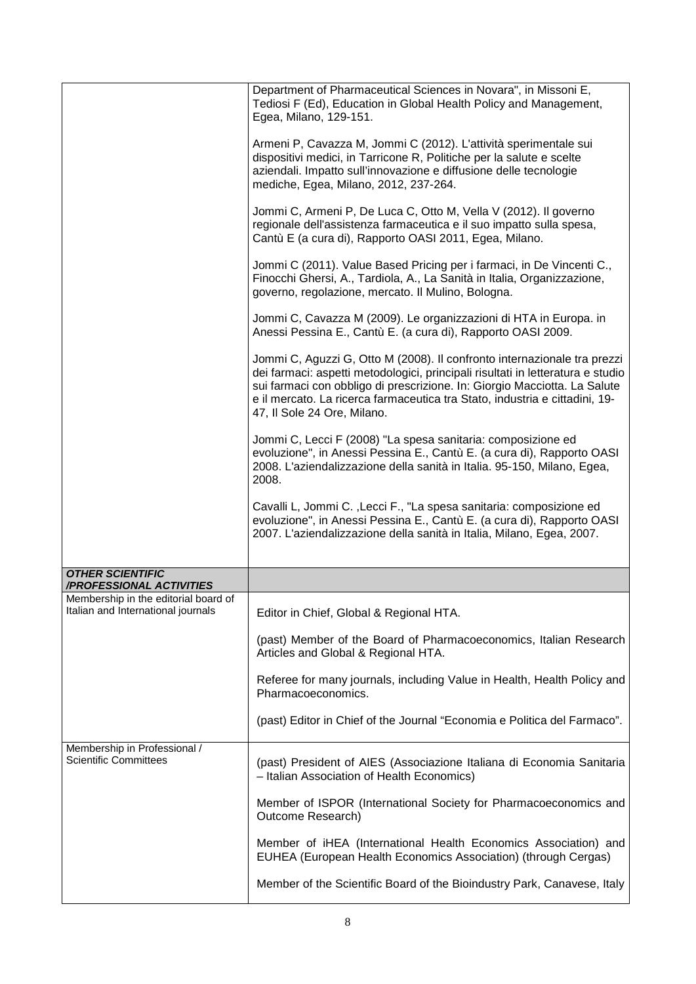|                                                                                                        | Department of Pharmaceutical Sciences in Novara", in Missoni E,<br>Tediosi F (Ed), Education in Global Health Policy and Management,<br>Egea, Milano, 129-151.                                                                                                                                                                                         |
|--------------------------------------------------------------------------------------------------------|--------------------------------------------------------------------------------------------------------------------------------------------------------------------------------------------------------------------------------------------------------------------------------------------------------------------------------------------------------|
|                                                                                                        | Armeni P, Cavazza M, Jommi C (2012). L'attività sperimentale sui<br>dispositivi medici, in Tarricone R, Politiche per la salute e scelte<br>aziendali. Impatto sull'innovazione e diffusione delle tecnologie<br>mediche, Egea, Milano, 2012, 237-264.                                                                                                 |
|                                                                                                        | Jommi C, Armeni P, De Luca C, Otto M, Vella V (2012). Il governo<br>regionale dell'assistenza farmaceutica e il suo impatto sulla spesa,<br>Cantù E (a cura di), Rapporto OASI 2011, Egea, Milano.                                                                                                                                                     |
|                                                                                                        | Jommi C (2011). Value Based Pricing per i farmaci, in De Vincenti C.,<br>Finocchi Ghersi, A., Tardiola, A., La Sanità in Italia, Organizzazione,<br>governo, regolazione, mercato. Il Mulino, Bologna.                                                                                                                                                 |
|                                                                                                        | Jommi C, Cavazza M (2009). Le organizzazioni di HTA in Europa. in<br>Anessi Pessina E., Cantù E. (a cura di), Rapporto OASI 2009.                                                                                                                                                                                                                      |
|                                                                                                        | Jommi C, Aguzzi G, Otto M (2008). Il confronto internazionale tra prezzi<br>dei farmaci: aspetti metodologici, principali risultati in letteratura e studio<br>sui farmaci con obbligo di prescrizione. In: Giorgio Macciotta. La Salute<br>e il mercato. La ricerca farmaceutica tra Stato, industria e cittadini, 19-<br>47, Il Sole 24 Ore, Milano. |
|                                                                                                        | Jommi C, Lecci F (2008) "La spesa sanitaria: composizione ed<br>evoluzione", in Anessi Pessina E., Cantù E. (a cura di), Rapporto OASI<br>2008. L'aziendalizzazione della sanità in Italia. 95-150, Milano, Egea,<br>2008.                                                                                                                             |
|                                                                                                        | Cavalli L, Jommi C., Lecci F., "La spesa sanitaria: composizione ed<br>evoluzione", in Anessi Pessina E., Cantù E. (a cura di), Rapporto OASI<br>2007. L'aziendalizzazione della sanità in Italia, Milano, Egea, 2007.                                                                                                                                 |
| <b>OTHER SCIENTIFIC</b>                                                                                |                                                                                                                                                                                                                                                                                                                                                        |
| /PROFESSIONAL ACTIVITIES<br>Membership in the editorial board of<br>Italian and International journals | Editor in Chief, Global & Regional HTA.                                                                                                                                                                                                                                                                                                                |
|                                                                                                        | (past) Member of the Board of Pharmacoeconomics, Italian Research<br>Articles and Global & Regional HTA.                                                                                                                                                                                                                                               |
|                                                                                                        | Referee for many journals, including Value in Health, Health Policy and<br>Pharmacoeconomics.                                                                                                                                                                                                                                                          |
|                                                                                                        | (past) Editor in Chief of the Journal "Economia e Politica del Farmaco".                                                                                                                                                                                                                                                                               |
| Membership in Professional /<br><b>Scientific Committees</b>                                           | (past) President of AIES (Associazione Italiana di Economia Sanitaria<br>- Italian Association of Health Economics)                                                                                                                                                                                                                                    |
|                                                                                                        | Member of ISPOR (International Society for Pharmacoeconomics and<br>Outcome Research)                                                                                                                                                                                                                                                                  |
|                                                                                                        | Member of iHEA (International Health Economics Association) and<br>EUHEA (European Health Economics Association) (through Cergas)                                                                                                                                                                                                                      |
|                                                                                                        | Member of the Scientific Board of the Bioindustry Park, Canavese, Italy                                                                                                                                                                                                                                                                                |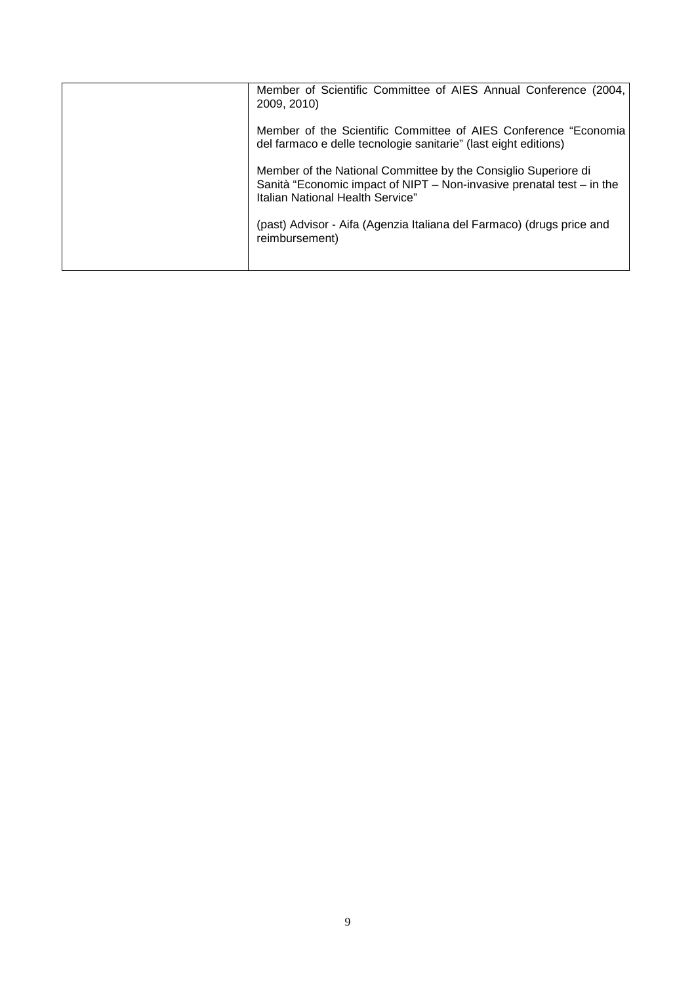| Member of Scientific Committee of AIES Annual Conference (2004,<br>2009, 2010) |
|--------------------------------------------------------------------------------|
|                                                                                |
| Member of the Scientific Committee of AIES Conference "Economia                |
| del farmaco e delle tecnologie sanitarie" (last eight editions)                |
| Member of the National Committee by the Consiglio Superiore di                 |
| Sanità "Economic impact of NIPT – Non-invasive prenatal test – in the          |
| Italian National Health Service"                                               |
| (past) Advisor - Aifa (Agenzia Italiana del Farmaco) (drugs price and          |
| reimbursement)                                                                 |
|                                                                                |
|                                                                                |